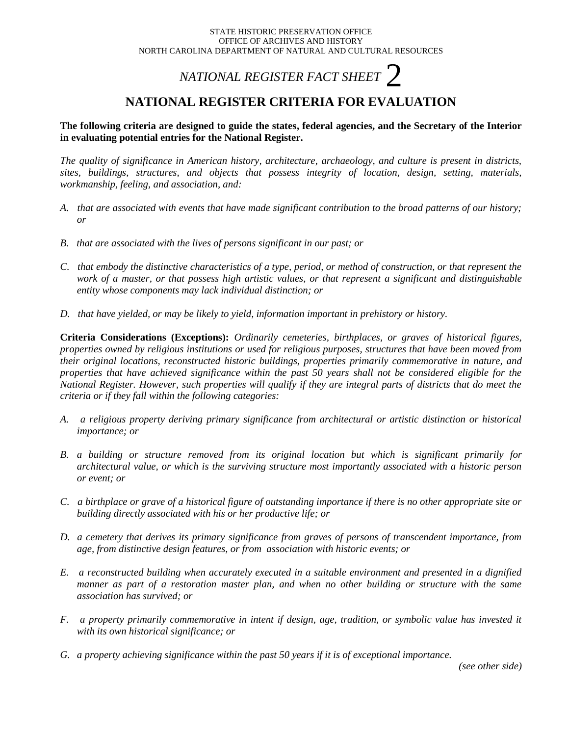# *NATIONAL REGISTER FACT SHEET*  $\mathcal{C}$

## **NATIONAL REGISTER CRITERIA FOR EVALUATION**

**The following criteria are designed to guide the states, federal agencies, and the Secretary of the Interior in evaluating potential entries for the National Register.** 

*The quality of significance in American history, architecture, archaeology, and culture is present in districts, sites, buildings, structures, and objects that possess integrity of location, design, setting, materials, workmanship, feeling, and association, and:*

- *A. that are associated with events that have made significant contribution to the broad patterns of our history; or*
- *B. that are associated with the lives of persons significant in our past; or*
- *C. that embody the distinctive characteristics of a type, period, or method of construction, or that represent the work of a master, or that possess high artistic values, or that represent a significant and distinguishable entity whose components may lack individual distinction; or*
- *D. that have yielded, or may be likely to yield, information important in prehistory or history.*

**Criteria Considerations (Exceptions):** *Ordinarily cemeteries, birthplaces, or graves of historical figures, properties owned by religious institutions or used for religious purposes, structures that have been moved from their original locations, reconstructed historic buildings, properties primarily commemorative in nature, and properties that have achieved significance within the past 50 years shall not be considered eligible for the National Register. However, such properties will qualify if they are integral parts of districts that do meet the criteria or if they fall within the following categories:*

- *A. a religious property deriving primary significance from architectural or artistic distinction or historical importance; or*
- *B. a building or structure removed from its original location but which is significant primarily for architectural value, or which is the surviving structure most importantly associated with a historic person or event; or*
- *C. a birthplace or grave of a historical figure of outstanding importance if there is no other appropriate site or building directly associated with his or her productive life; or*
- *D. a cemetery that derives its primary significance from graves of persons of transcendent importance, from age, from distinctive design features, or from association with historic events; or*
- *E. a reconstructed building when accurately executed in a suitable environment and presented in a dignified manner as part of a restoration master plan, and when no other building or structure with the same association has survived; or*
- *F. a property primarily commemorative in intent if design, age, tradition, or symbolic value has invested it with its own historical significance; or*
- *G. a property achieving significance within the past 50 years if it is of exceptional importance.*

*(see other side)*